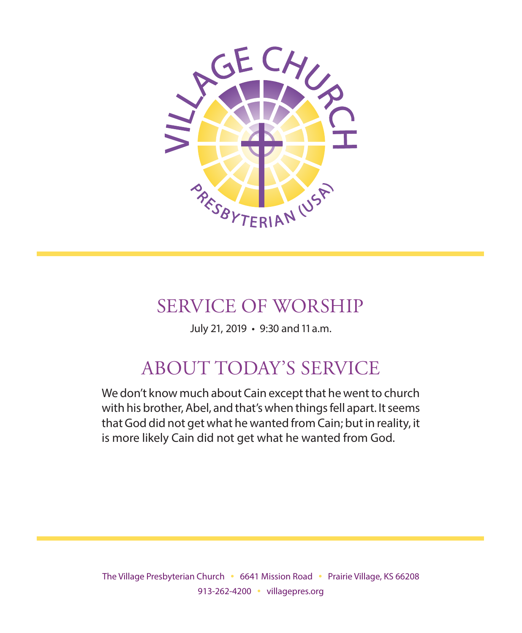

# SERVICE OF WORSHIP

July 21, 2019 • 9:30 and 11 a.m.

# ABOUT TODAY'S SERVICE

We don't know much about Cain except that he went to church with his brother, Abel, and that's when things fell apart. It seems that God did not get what he wanted from Cain; but in reality, it is more likely Cain did not get what he wanted from God.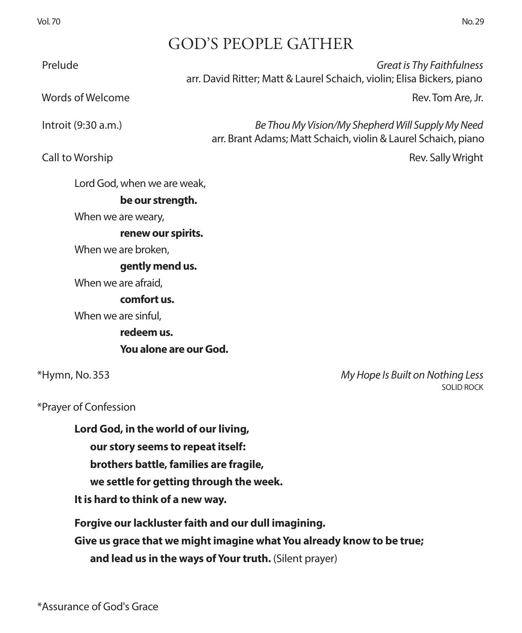# GOD'S PEOPLE GATHER

 Prelude *Great is Thy Faithfulness* arr. David Ritter; Matt & Laurel Schaich, violin; Elisa Bickers, piano words of Welcome **Rev. Tom Are, Jr. (2008)** Words of Welcome Rev. Tom Are, Jr. Introit (9:30 a.m.) *Be Thou My Vision/My Shepherd Will Supply My Need* arr. Brant Adams; Matt Schaich, violin & Laurel Schaich, piano Call to Worship **Rev.** Sally Wright Lord God, when we are weak, **be our strength.** When we are weary, **renew our spirits.**  When we are broken, **gently mend us.**  When we are afraid, **comfort us.**  When we are sinful, **redeem us. You alone are our God.** \*Hymn, No. 353 *My Hope Is Built on Nothing Less* \*Prayer of Confession **Lord God, in the world of our living, our story seems to repeat itself:** 

**brothers battle, families are fragile,** 

**we settle for getting through the week.** 

**It is hard to think of a new way.**

**Forgive our lackluster faith and our dull imagining.**

**Give us grace that we might imagine what You already know to be true;** 

**and lead us in the ways of Your truth.** (Silent prayer)

SOLID ROCK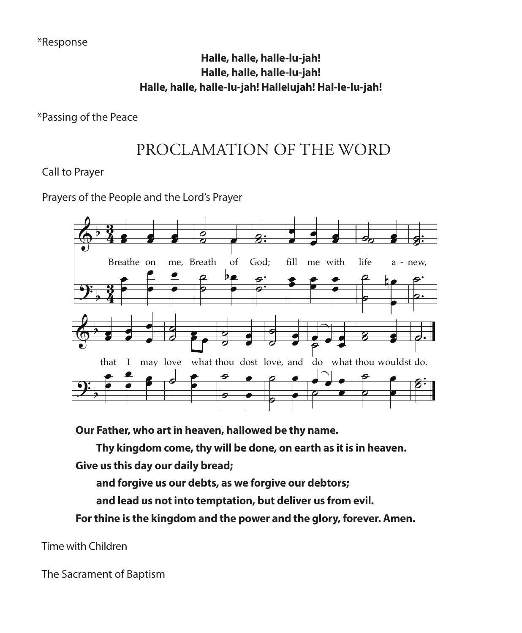#### Halle, halle, halle-lu-jah! Halle Halle, halle-lu-jah! alle, halle, halle-lu-jah! an: n Halle, halle, halle, halle-lu-jah!<br>Halle, halle, halle-lu-jah! Hallelujah! Hal-le-lu-jah!  $\mathbf{b}$ flame's ic, ea ne, ger sign: might: i: Hanelujah: Hal-le-lu-jah: lalle, halle, halle-lu-jah!<br>Jalle, halle, halle-lu-jahl - Halle, halle, halle-lu-jah! Hallelujah! Hal-le-lu-jah!  $\frac{1}{2}$  $B_{\text{G}}$ **Halle, halle, halle-lu-jah!**

\*Passing of the Peace

#### PROCLAMATION OF THE WORD PROCLAMATION OF THE WORD . œ F TI PROCLAMATION OF THE WORD

& b 1 Call to Prayer

People and the Lord's Praye er<br>he People and the Lord's Prave People ar  $th$ e  $ord's$ Prayers of the People and the Lord's Prayer



Our Father, who art in heaven, hallowed be thy name.<br>Thy kingdom come, thy will be done, on earth as it is ther, who art in heaven, hallowed be thy name<br>whisedom come, thy will be done, on earth as .<br>ი.  $\overline{\phantom{a}}$ , hallowed be <mark>t</mark>h<br>… Our Father, who art in heaven, hallowed be thy name.

ny un ıng til 10m this tom: the ly /III parties.<br>Parties e ad of e, ( e glows :n as with thy e fire n h pe done, on earth as it is in heaven. Thy kingdom come, thy will be done, on earth as it is in heaven. tner, wno art in nea<br>w kingdom come. t ill be done, on earth<br>d œ Thy kingdom come, thy will be done, on earth as it is in heaven.

<sup>114</sup> Give us this day our daily bread;<br>end foreive us our dabts, as we foreive our dabtare;

a s tins day our dany<br>el forgive us our de as we <mark>forgive ou</mark><br>tation, hyt deliv e<br>ekst e and forgive us our debts, as we forgive our debtors; In both Hebrew and Greek, the words for  $\mathcal{S}_{\mathcal{S}}$  as "breath" or "wind," so it is translated as "breath" or "wind," so it is the wind," so it is the wind," so it is the wind," so it is the wind," so it is the wind," MUSIC: Robert Jackson, 1888

and lead us not into temptation, but deliver us from evil. and lead us not into temptation, but deliver us from evil.

In both Hebrew and Greek, the words for  $\mathcal{L}$  spirit  $\mathcal{L}$  be translated as  $\mathcal{L}$ For thine is the kingdom and the power and the glory, forever. Amen. For thine is the kingdom and the power and the glory, forever. Amen.

Time with Children hymnals. \_\_\_\_\_\_\_\_\_\_\_\_\_\_\_\_\_\_\_\_\_\_\_\_\_\_\_\_\_\_\_\_\_\_\_\_\_\_\_\_\_\_\_\_\_\_\_\_\_\_\_\_\_\_\_\_\_\_\_\_\_\_\_\_\_\_\_\_\_\_\_\_\_\_\_\_\_\_\_\_\_\_\_\_\_\_\_\_\_\_\_\_\_\_\_\_\_\_\_\_\_\_\_\_\_\_\_\_\_\_\_\_\_\_\_\_\_

The Sacrament of Baptism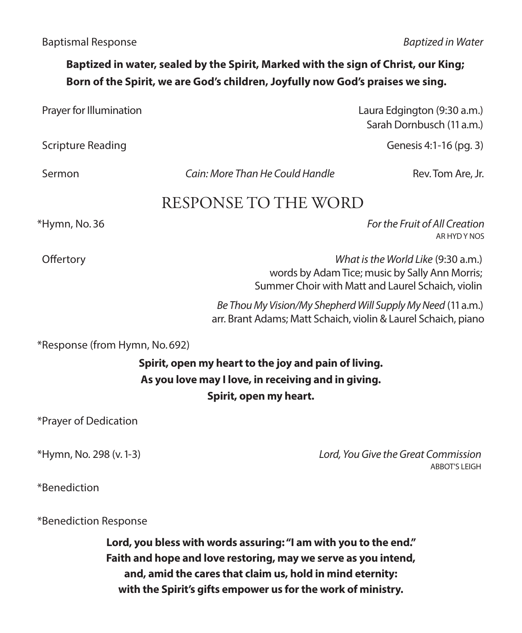### **Baptized in water, sealed by the Spirit, Marked with the sign of Christ, our King; Born of the Spirit, we are God's children, Joyfully now God's praises we sing.**

| Prayer for Illumination       |                                                                                                                                    | Laura Edgington (9:30 a.m.)<br>Sarah Dornbusch (11 a.m.)                                                                                  |
|-------------------------------|------------------------------------------------------------------------------------------------------------------------------------|-------------------------------------------------------------------------------------------------------------------------------------------|
| <b>Scripture Reading</b>      |                                                                                                                                    | Genesis 4:1-16 (pg. 3)                                                                                                                    |
| Sermon                        | Cain: More Than He Could Handle                                                                                                    | Rev. Tom Are, Jr.                                                                                                                         |
|                               | RESPONSE TO THE WORD                                                                                                               |                                                                                                                                           |
| *Hymn, No. 36                 |                                                                                                                                    | For the Fruit of All Creation<br>AR HYD Y NOS                                                                                             |
| Offertory                     |                                                                                                                                    | What is the World Like (9:30 a.m.)<br>words by Adam Tice; music by Sally Ann Morris;<br>Summer Choir with Matt and Laurel Schaich, violin |
|                               |                                                                                                                                    | Be Thou My Vision/My Shepherd Will Supply My Need (11 a.m.)<br>arr. Brant Adams; Matt Schaich, violin & Laurel Schaich, piano             |
| *Response (from Hymn, No.692) |                                                                                                                                    |                                                                                                                                           |
|                               | Spirit, open my heart to the joy and pain of living.                                                                               |                                                                                                                                           |
|                               | As you love may I love, in receiving and in giving.<br>Spirit, open my heart.                                                      |                                                                                                                                           |
| *Prayer of Dedication         |                                                                                                                                    |                                                                                                                                           |
| *Hymn, No. 298 (v. 1-3)       |                                                                                                                                    | Lord, You Give the Great Commission<br><b>ABBOT'S LEIGH</b>                                                                               |
| *Benediction                  |                                                                                                                                    |                                                                                                                                           |
| *Benediction Response         |                                                                                                                                    |                                                                                                                                           |
|                               | Lord, you bless with words assuring: "I am with you to the end."<br>Faith and hope and love restoring, may we serve as you intend, |                                                                                                                                           |

**and, amid the cares that claim us, hold in mind eternity: with the Spirit's gifts empower us for the work of ministry.**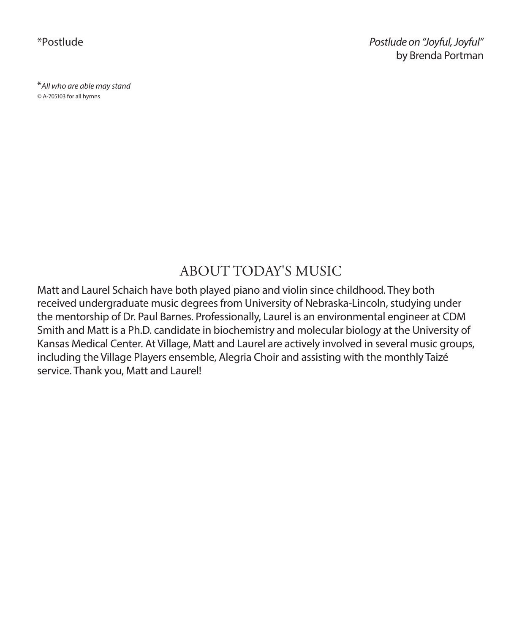\*Postlude *Postlude on "Joyful, Joyful"* by Brenda Portman

\**All who are able may stand ©* A-705103 for all hymns

### ABOUT TODAY'S MUSIC

Matt and Laurel Schaich have both played piano and violin since childhood. They both received undergraduate music degrees from University of Nebraska-Lincoln, studying under the mentorship of Dr. Paul Barnes. Professionally, Laurel is an environmental engineer at CDM Smith and Matt is a Ph.D. candidate in biochemistry and molecular biology at the University of Kansas Medical Center. At Village, Matt and Laurel are actively involved in several music groups, including the Village Players ensemble, Alegria Choir and assisting with the monthly Taizé service. Thank you, Matt and Laurel!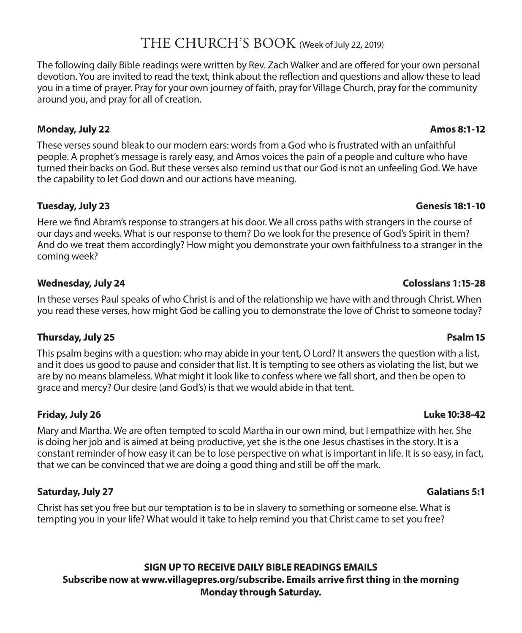### THE CHURCH'S BOOK (Week of July 22, 2019)

The following daily Bible readings were written by Rev. Zach Walker and are offered for your own personal devotion. You are invited to read the text, think about the reflection and questions and allow these to lead you in a time of prayer. Pray for your own journey of faith, pray for Village Church, pray for the community around you, and pray for all of creation.

#### **Monday, July 22 Amos 8:1-12**

These verses sound bleak to our modern ears: words from a God who is frustrated with an unfaithful people. A prophet's message is rarely easy, and Amos voices the pain of a people and culture who have turned their backs on God. But these verses also remind us that our God is not an unfeeling God. We have the capability to let God down and our actions have meaning.

#### **Tuesday, July 23 Genesis 18:1-10**

Here we find Abram's response to strangers at his door. We all cross paths with strangers in the course of our days and weeks. What is our response to them? Do we look for the presence of God's Spirit in them? And do we treat them accordingly? How might you demonstrate your own faithfulness to a stranger in the coming week?

#### **Wednesday, July 24 Colossians 1:15-28**

In these verses Paul speaks of who Christ is and of the relationship we have with and through Christ. When you read these verses, how might God be calling you to demonstrate the love of Christ to someone today?

#### **Thursday, July 25 Psalm 15**

This psalm begins with a question: who may abide in your tent, O Lord? It answers the question with a list, and it does us good to pause and consider that list. It is tempting to see others as violating the list, but we are by no means blameless. What might it look like to confess where we fall short, and then be open to grace and mercy? Our desire (and God's) is that we would abide in that tent.

#### **Friday, July 26 Luke 10:38-42**

Mary and Martha. We are often tempted to scold Martha in our own mind, but I empathize with her. She is doing her job and is aimed at being productive, yet she is the one Jesus chastises in the story. It is a constant reminder of how easy it can be to lose perspective on what is important in life. It is so easy, in fact, that we can be convinced that we are doing a good thing and still be off the mark.

#### **Saturday, July 27 Galatians 5:1**

Christ has set you free but our temptation is to be in slavery to something or someone else. What is tempting you in your life? What would it take to help remind you that Christ came to set you free?

#### **SIGN UP TO RECEIVE DAILY BIBLE READINGS EMAILS Subscribe now at www.villagepres.org/subscribe. Emails arrive first thing in the morning Monday through Saturday.**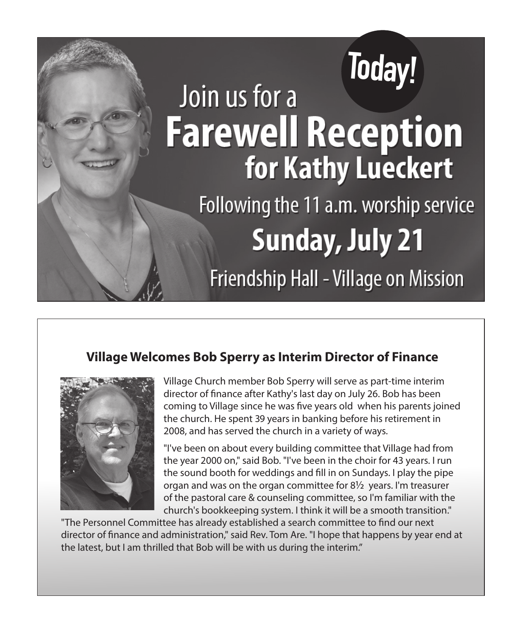# **Today!** Join us for a **Farewell Reception** for Kathy Lueckert Following the 11 a.m. worship service **Sunday, July 21** Friendship Hall - Village on Mission

#### **Village Welcomes Bob Sperry as Interim Director of Finance**



Village Church member Bob Sperry will serve as part-time interim director of finance after Kathy's last day on July 26. Bob has been coming to Village since he was five years old when his parents joined the church. He spent 39 years in banking before his retirement in 2008, and has served the church in a variety of ways.

"I've been on about every building committee that Village had from the year 2000 on," said Bob. "I've been in the choir for 43 years. I run the sound booth for weddings and fill in on Sundays. I play the pipe organ and was on the organ committee for 8½ years. I'm treasurer of the pastoral care & counseling committee, so I'm familiar with the church's bookkeeping system. I think it will be a smooth transition."

"The Personnel Committee has already established a search committee to find our next director of finance and administration," said Rev. Tom Are. "I hope that happens by year end at the latest, but I am thrilled that Bob will be with us during the interim."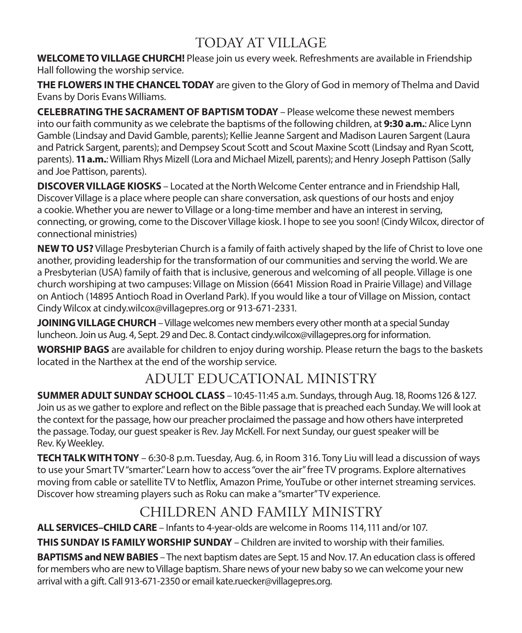# TODAY AT VILLAGE

**WELCOME TO VILLAGE CHURCH!** Please join us every week. Refreshments are available in Friendship Hall following the worship service.

**THE FLOWERS IN THE CHANCEL TODAY** are given to the Glory of God in memory of Thelma and David Evans by Doris Evans Williams.

**CELEBRATING THE SACRAMENT OF BAPTISM TODAY** – Please welcome these newest members into our faith community as we celebrate the baptisms of the following children, at **9:30 a.m.**: Alice Lynn Gamble (Lindsay and David Gamble, parents); Kellie Jeanne Sargent and Madison Lauren Sargent (Laura and Patrick Sargent, parents); and Dempsey Scout Scott and Scout Maxine Scott (Lindsay and Ryan Scott, parents). **11 a.m.**: William Rhys Mizell (Lora and Michael Mizell, parents); and Henry Joseph Pattison (Sally and Joe Pattison, parents).

**DISCOVER VILLAGE KIOSKS** – Located at the North Welcome Center entrance and in Friendship Hall, Discover Village is a place where people can share conversation, ask questions of our hosts and enjoy a cookie. Whether you are newer to Village or a long-time member and have an interest in serving, connecting, or growing, come to the Discover Village kiosk. I hope to see you soon! (Cindy Wilcox, director of connectional ministries)

**NEW TO US?** Village Presbyterian Church is a family of faith actively shaped by the life of Christ to love one another, providing leadership for the transformation of our communities and serving the world. We are a Presbyterian (USA) family of faith that is inclusive, generous and welcoming of all people. Village is one church worshiping at two campuses: Village on Mission (6641 Mission Road in Prairie Village) and Village on Antioch (14895 Antioch Road in Overland Park). If you would like a tour of Village on Mission, contact Cindy Wilcox at cindy.wilcox@villagepres.org or 913-671-2331.

**JOINING VILLAGE CHURCH** – Village welcomes new members every other month at a special Sunday luncheon. Join us Aug. 4, Sept. 29 and Dec. 8. Contact cindy.wilcox@villagepres.org for information.

**WORSHIP BAGS** are available for children to enjoy during worship. Please return the bags to the baskets located in the Narthex at the end of the worship service.

# ADULT EDUCATIONAL MINISTRY

**SUMMER ADULT SUNDAY SCHOOL CLASS** – 10:45-11:45 a.m. Sundays, through Aug. 18, Rooms 126 & 127. Join us as we gather to explore and reflect on the Bible passage that is preached each Sunday. We will look at the context for the passage, how our preacher proclaimed the passage and how others have interpreted the passage. Today, our guest speaker is Rev. Jay McKell. For next Sunday, our guest speaker will be Rev. Ky Weekley.

**TECH TALK WITH TONY** – 6:30-8 p.m. Tuesday, Aug. 6, in Room 316. Tony Liu will lead a discussion of ways to use your Smart TV "smarter." Learn how to access "over the air" free TV programs. Explore alternatives moving from cable or satellite TV to Netflix, Amazon Prime, YouTube or other internet streaming services. Discover how streaming players such as Roku can make a "smarter" TV experience.

# CHILDREN AND FAMILY MINISTRY

**ALL SERVICES–CHILD CARE** – Infants to 4-year-olds are welcome in Rooms 114, 111 and/or 107.

**THIS SUNDAY IS FAMILY WORSHIP SUNDAY** – Children are invited to worship with their families.

**BAPTISMS and NEW BABIES** – The next baptism dates are Sept. 15 and Nov. 17. An education class is offered for members who are new to Village baptism. Share news of your new baby so we can welcome your new arrival with a gift. Call 913-671-2350 or email kate.ruecker@villagepres.org.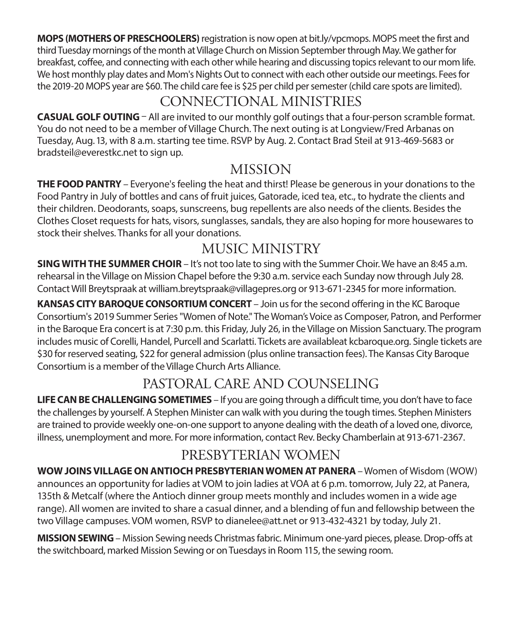**MOPS (MOTHERS OF PRESCHOOLERS)** registration is now open at bit.ly/vpcmops. MOPS meet the first and third Tuesday mornings of the month at Village Church on Mission September through May. We gather for breakfast, coffee, and connecting with each other while hearing and discussing topics relevant to our mom life. We host monthly play dates and Mom's Nights Out to connect with each other outside our meetings. Fees for the 2019-20 MOPS year are \$60. The child care fee is \$25 per child per semester (child care spots are limited).

# CONNECTIONAL MINISTRIES

**CASUAL GOLF OUTING** – All are invited to our monthly golf outings that a four-person scramble format. You do not need to be a member of Village Church. The next outing is at Longview/Fred Arbanas on Tuesday, Aug. 13, with 8 a.m. starting tee time. RSVP by Aug. 2. Contact Brad Steil at 913-469-5683 or bradsteil@everestkc.net to sign up.

# MISSION

**THE FOOD PANTRY** – Everyone's feeling the heat and thirst! Please be generous in your donations to the Food Pantry in July of bottles and cans of fruit juices, Gatorade, iced tea, etc., to hydrate the clients and their children. Deodorants, soaps, sunscreens, bug repellents are also needs of the clients. Besides the Clothes Closet requests for hats, visors, sunglasses, sandals, they are also hoping for more housewares to stock their shelves. Thanks for all your donations.

# MUSIC MINISTRY

**SING WITH THE SUMMER CHOIR** – It's not too late to sing with the Summer Choir. We have an 8:45 a.m. rehearsal in the Village on Mission Chapel before the 9:30 a.m. service each Sunday now through July 28. Contact Will Breytspraak at william.breytspraak@villagepres.org or 913-671-2345 for more information.

**KANSAS CITY BAROQUE CONSORTIUM CONCERT** – Join us for the second offering in the KC Baroque Consortium's 2019 Summer Series "Women of Note." The Woman's Voice as Composer, Patron, and Performer in the Baroque Era concert is at 7:30 p.m. this Friday, July 26, in the Village on Mission Sanctuary. The program includes music of Corelli, Handel, Purcell and Scarlatti. Tickets are availableat kcbaroque.org. Single tickets are \$30 for reserved seating, \$22 for general admission (plus online transaction fees). The Kansas City Baroque Consortium is a member of the Village Church Arts Alliance.

# PASTORAL CARE AND COUNSELING

**LIFE CAN BE CHALLENGING SOMETIMES** – If you are going through a difficult time, you don't have to face the challenges by yourself. A Stephen Minister can walk with you during the tough times. Stephen Ministers are trained to provide weekly one-on-one support to anyone dealing with the death of a loved one, divorce, illness, unemployment and more. For more information, contact Rev. Becky Chamberlain at 913-671-2367.

# PRESBYTERIAN WOMEN

**WOW JOINS VILLAGE ON ANTIOCH PRESBYTERIAN WOMEN AT PANERA** – Women of Wisdom (WOW) announces an opportunity for ladies at VOM to join ladies at VOA at 6 p.m. tomorrow, July 22, at Panera, 135th & Metcalf (where the Antioch dinner group meets monthly and includes women in a wide age range). All women are invited to share a casual dinner, and a blending of fun and fellowship between the two Village campuses. VOM women, RSVP to dianelee@att.net or 913-432-4321 by today, July 21.

**MISSION SEWING**– Mission Sewing needs Christmas fabric. Minimum one-yard pieces, please. Drop-offs at the switchboard, marked Mission Sewing or on Tuesdays in Room 115, the sewing room.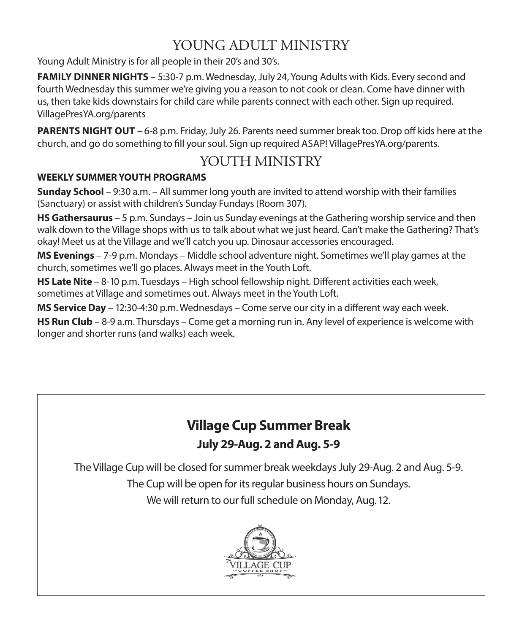# YOUNG ADULT MINISTRY

Young Adult Ministry is for all people in their 20's and 30's.

**FAMILY DINNER NIGHTS** – 5:30-7 p.m. Wednesday, July 24, Young Adults with Kids. Every second and fourth Wednesday this summer we're giving you a reason to not cook or clean. Come have dinner with us, then take kids downstairs for child care while parents connect with each other. Sign up required. VillagePresYA.org/parents

**PARENTS NIGHT OUT** – 6-8 p.m. Friday, July 26. Parents need summer break too. Drop off kids here at the church, and go do something to fill your soul. Sign up required ASAP! VillagePresYA.org/parents.

# YOUTH MINISTRY

#### **WEEKLY SUMMER YOUTH PROGRAMS**

**Sunday School** – 9:30 a.m. – All summer long youth are invited to attend worship with their families (Sanctuary) or assist with children's Sunday Fundays (Room 307).

**HS Gathersaurus** – 5 p.m. Sundays – Join us Sunday evenings at the Gathering worship service and then walk down to the Village shops with us to talk about what we just heard. Can't make the Gathering? That's okay! Meet us at the Village and we'll catch you up. Dinosaur accessories encouraged.

**MS Evenings** – 7-9 p.m. Mondays – Middle school adventure night. Sometimes we'll play games at the church, sometimes we'll go places. Always meet in the Youth Loft.

**HS Late Nite** – 8-10 p.m. Tuesdays – High school fellowship night. Different activities each week, sometimes at Village and sometimes out. Always meet in the Youth Loft.

**MS Service Day** – 12:30-4:30 p.m. Wednesdays – Come serve our city in a different way each week.

**HS Run Club** – 8-9 a.m. Thursdays – Come get a morning run in. Any level of experience is welcome with longer and shorter runs (and walks) each week.

# **Village Cup Summer Break July 29-Aug. 2 and Aug. 5-9**

The Village Cup will be closed for summer break weekdays July 29-Aug. 2 and Aug. 5-9.

The Cup will be open for its regular business hours on Sundays.

We will return to our full schedule on Monday, Aug. 12.

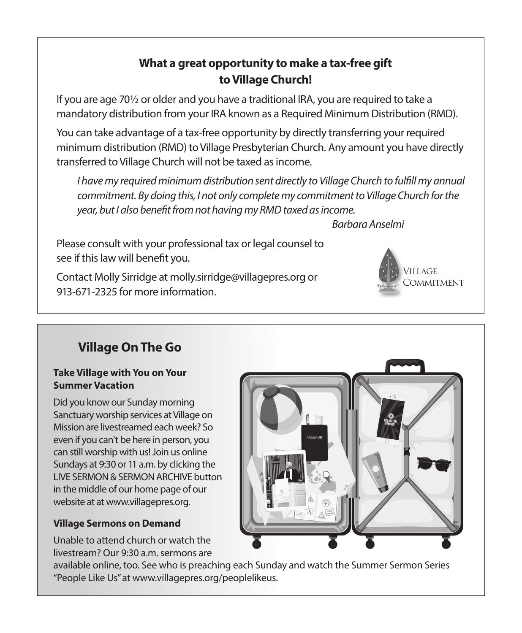### **What a great opportunity to make a tax-free gift to Village Church!**

If you are age 70½ or older and you have a traditional IRA, you are required to take a mandatory distribution from your IRA known as a Required Minimum Distribution (RMD).

You can take advantage of a tax-free opportunity by directly transferring your required minimum distribution (RMD) to Village Presbyterian Church. Any amount you have directly transferred to Village Church will not be taxed as income.

*I have my required minimum distribution sent directly to Village Church to fulfill my annual commitment. By doing this, I not only complete my commitment to Village Church for the year, but I also benefit from not having my RMD taxed as income.* 

 *Barbara Anselmi*

Please consult with your professional tax or legal counsel to see if this law will benefit you.

Contact Molly Sirridge at molly.sirridge@villagepres.org or 913-671-2325 for more information.

# **Village On The Go**

#### **Take Village with You on Your Summer Vacation**

Did you know our Sunday morning Sanctuary worship services at Village on Mission are livestreamed each week? So even if you can't be here in person, you can still worship with us! Join us online Sundays at 9:30 or 11 a.m. by clicking the LIVE SERMON & SERMON ARCHIVE button in the middle of our home page of our website at at www.villagepres.org.

#### **Village Sermons on Demand**

Unable to attend church or watch the livestream? Our 9:30 a.m. sermons are



II LAGE

COMMITMENT

#### available online, too. See who is preaching each Sunday and watch the Summer Sermon Series "People Like Us" at www.villagepres.org/peoplelikeus.